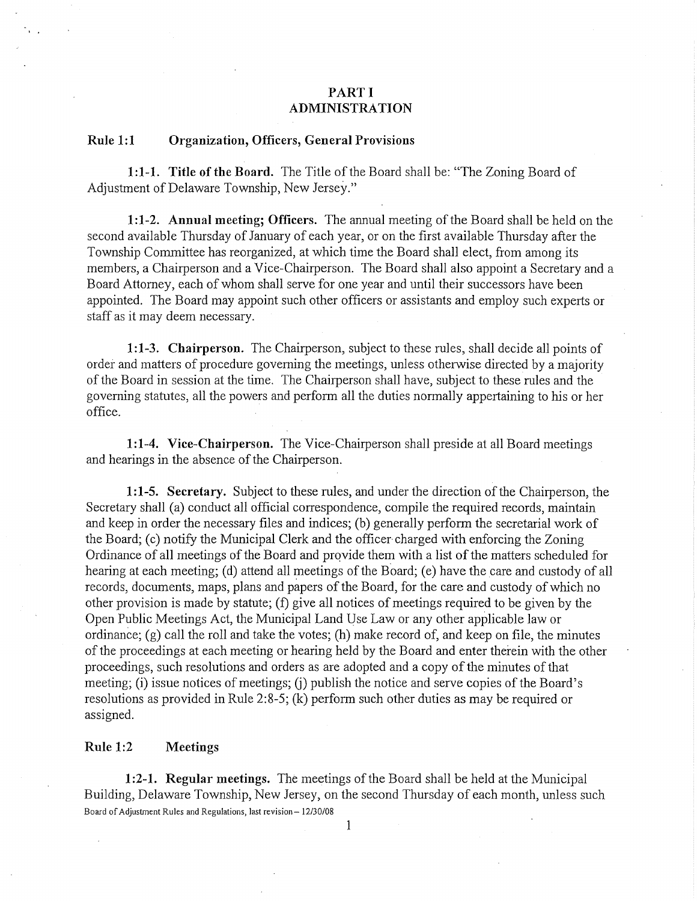# **PARTI ADMINISTRATION**

#### **Rule 1:1 Organization, Officers, General Provisions**

**1: 1-1. Title of the Board.** The Title of the Board shall be: "The Zoning Board of Adjustment of Delaware Township, New Jersey."

**1:1-2. Annual meeting; Officers.** The annual meeting of the Board shall be held on the second available Thursday of January of each year, or on the first available Thursday after the Township Committee has reorganized, at which time the Board shall elect, from among its members, a Chairperson and a Vice-Chairperson. The Board shall also appoint a Secretary and a Board Attorney, each of whom shall serve for one year and until their successors have been appointed. The Board may appoint such other officers or assistants and employ such experts or staff as it may deem necessary.

**1: 1-3. Chairperson.** The Chairperson, subject to these rules, shall decide all points of order and matters of procedure governing the meetings, unless otherwise directed by a majority of the Board in session at the time. The Chairperson shall have, subject to these rules and the governing statutes, all the powers and perform all the duties normally appertaining to his or her office.

**1:1-4. Vice-Chairperson.** The Vice-Chairperson shall preside at all Board meetings and hearings in the absence of the Chairperson.

**1 :1-5. Secretary.** Subject to these rules, and under the direction of the Chairperson, the Secretary shall (a) conduct all official correspondence, compile the required records, maintain and keep in order the necessary files and indices; (b) generally perform the secretarial work of the Board; (c) notify the Municipal Clerk and the officer charged with enforcing the Zoning Ordinance of all meetings of the Board and provide them with a list of the matters scheduled for hearing at each meeting; (d) attend all meetings of the Board; (e) have the care and custody of all records, documents, maps, plans and papers of the Board, for the care and custody of which no other provision is made by statute; (f) give all notices of meetings required to be given by the Open Public Meetings Act, the Municipal Land Use Law or any other applicable law or ordinance; (g) call the roll and take the votes; (h) make record of, and keep on file, the minutes of the proceedings at each meeting or hearing held by the Board and enter therein with the other proceedings, such resolutions and orders as are adopted and a copy of the minutes of that meeting; (i) issue notices of meetings; (i) publish the notice and serve copies of the Board's resolutions as provided in Rule 2:8-5; (k) perform such other duties as may be required or assigned.

## **Rule 1:2 Meetings**

**1:2-1. Regular meetings.** The meetings of the Board shall be held at the Municipal Building, Delaware Township, New Jersey, on the second Thursday of each month, unless such Board of Adjustment Rules and Regulations, last revision- 12/30/08

 $\mathbf{1}$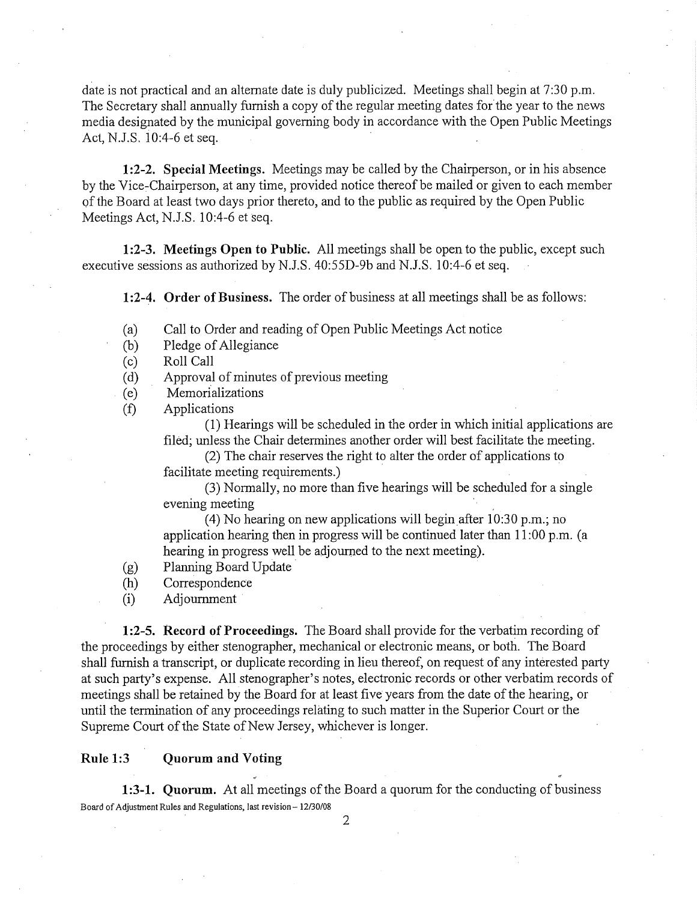date is not practical and an alternate date is duly publicized. Meetings shall begin at 7:30 p.m. The Secretary shall annually furnish a copy of the regular meeting dates for the year to the news media designated by the municipal governing body in accordance with the Open Public Meetings Act, N.J.S. 10:4-6 et seq.

**1:2-2. Special Meetings.** Meetings may be called by the Chairperson, or in his absence by the Vice-Chairperson, at any time, provided notice thereof be mailed or given to each member of the Board at least two days prior thereto, and to the public as required by the Open Public Meetings Act, N.J.S. 10:4-6 et seq.

**1 :2-3. Meetings Open to Public.** All meetings shall be open to the public, except such executive sessions as authorized by N.J.S. 40:55D-9b and N.J.S. 10:4-6 et seq.

**1:2-4. Order of Business.** The order of business at all meetings shall be as follows:

- ( a) Call to Order and reading of Open Public Meetings Act notice
- (b) Pledge of Allegiance
- (c) Roll Call
- ( d) Approval of minutes of previous meeting
- ( e) Memorializations
- (f) Applications

(1) Hearings will be scheduled in the order in which initial applications are filed; unless the Chair determines another order will best facilitate the meeting.

(2) The chair reserves the right to alter the order of applications to facilitate meeting requirements.)

(3) Normally, no more than five hearings will be scheduled for a single evening meeting .

(4) No hearing on new applications will begin after 10:30 p.m.; no application hearing then in progress will be continued later than 11 :00 p.m. (a hearing in progress well be adjourned to the next meeting).

- (g) Planning Board Update •
- (h) Correspondence
- (i) Adjournment

**1 :2-5. Record of Proceedings.** The Board shall provide for the verbatim recording of the proceedings by either stenographer, mechanical or electronic means, or both. The Board shall furnish a transcript, or duplicate recording in lieu thereof, on request of any interested party at such party's expense. All stenographer's notes, electronic records or other verbatim records of meetings shall be retained by the Board for at least five years from the date of the hearing, or until the termination of any proceedings relating to such matter in the Superior Court or the Supreme Court of the State of New Jersey, whichever is longer.

#### **Rule 1:3 Quorum and Voting**

**1:3-1. Quorum.** At all meetings of the Board a quorum for the conducting of business Board of Adjustment Rules and Regulations, last revision-12/30/08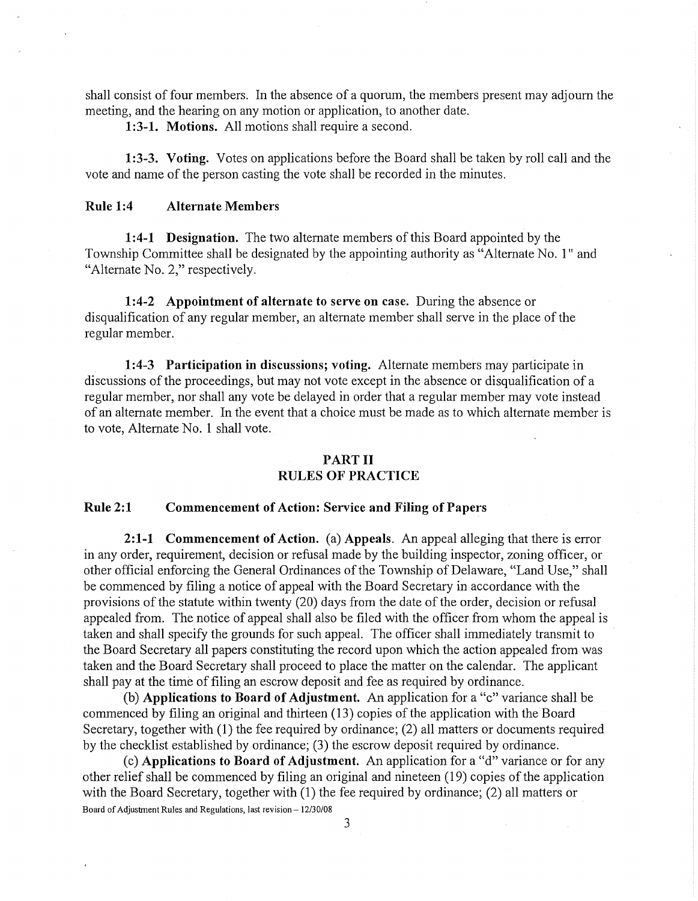shall consist of four members. In the absence of a quorum, the members present may adjourn the meeting, and the hearing on any motion or application, to another date.

**1 :3-1. Motions.** All motions shall require a second.

**1 :3-3. Voting.** Votes on applications before the Board shall be taken by roll call and the vote and name of the person casting the vote shall be recorded in the minutes.

## **Rule 1:4 Alternate Members**

**1 :4-1 Designation.** The two alternate members of this Board appointed by the Township Committee shall be designated by the appointing authority as "Alternate No. **l"** and "Alternate No. 2," respectively.

**1:4-2 Appointment of alternate to serve on case.** During the absence or disqualification of any regular member, an alternate member shall serve in the place of the regular member.

**1:4-3 Participation in discussions; voting.** Alternate members may participate in discussions of the proceedings, but may not vote except in the absence or disqualification of a regular member, nor shall any vote be delayed in order that a regular member may vote instead of an alternate member. In the event that a choice must be made as to which alternate member is to vote, Alternate No. **1** shall vote.

## **PART II**

# **RULES OF PRACTICE**

## **Rule 2:1 Commencement of Action: Service and Filing of Papers**

**2:1-1 Commencement of Action.** (a) **Appeals.** An appeal alleging that there is error in any order, requirement, decision or refusal made by the building inspector, zoning officer, or other official enforcing the General Ordinances of the Township of Delaware, "Land Use," shall be commenced by filing a notice of appeal with the Board Secretary in accordance with the provisions of the statute within twenty (20) days from the date of the order, decision or refusal appealed from. The notice of appeal shall also be filed with the officer from whom the appeal is taken and shall specify the grounds for such appeal. The officer shall immediately transmit to the Board Secretary all papers constituting the record upon which the action appealed from was taken and the Board Secretary shall proceed to place the matter on the calendar. The applicant shall pay at the time of filing an escrow deposit and fee as required by ordinance.

(b) **Applications to Board of Adjustment.** An application for a "c" variance shall be commenced by filing an original and thirteen (13) copies of the application with the Board Secretary, together with (1) the fee required by ordinance; (2) all matters or documents required by the checklist established by ordinance; (3) the escrow deposit required by ordinance.

( c) **Applications to Board of Adjustment.** An application for a "d" variance or for any other relief shall be commenced by filing an original and nineteen (19) copies of the application with the Board Secretary, together with (1) the fee required by ordinance; (2) all matters or Board of Adjustment Rules and Regulations, last revision - 12/30/08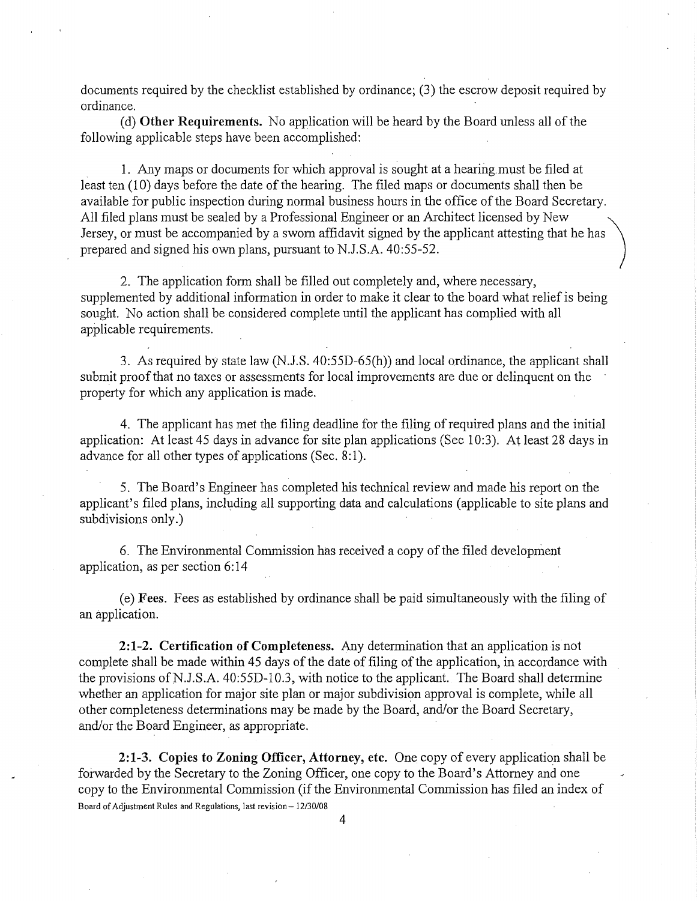documents required by the checklist established by ordinance; (3) the escrow deposit required by ordinance.

(d) **Other Requirements.** No application will be heard by the Board unless all of the following applicable steps have been accomplished:

**1.** Any maps or documents for which approval is sought at a hearing must be filed at least ten (10) days before the date of the hearing. The filed maps or documents shall then be available for public inspection during normal business hours in the office of the Board Secretary. All filed plans must be sealed by a Professional Engineer or an Architect licensed by New Jersey, or must be accompanied by a sworn affidavit signed by the applicant attesting that he has prepared and signed his own plans, pursuant to N.J.S.A. 40:55-52.

2. The application form shall be filled out completely and, where necessary, supplemented by additional information in order to make it clear to the board what relief is being sought. No action shall be considered complete until the applicant has complied with all applicable requirements.

3. As required by state law (N.J.S. 40:55D-65(h)) and local ordinance, the applicant shall submit proof that no taxes or assessments for local improvements are due or delinquent on the property for which any application is made.

4. The applicant has met the filing deadline for the filing of required plans and the initial application: At least 45 days in advance for site plan applications (Sec 10:3). At least 28 days in advance for all other types of applications (Sec. 8:1).

5. The Board's Engineer has completed his technical review and made his report on the applicant's filed plans, including all supporting data and calculations (applicable to site plans and subdivisions only.)

6. The Environmental Commission has received a copy of the filed development application, as per section 6: 14

(e) **Fees.** Fees as established by ordinance shall be paid simultaneously with the filing of an application.

**2:1-2. Certification of Completeness.** Any determination that an application is not complete shall be made within 45 days of the date of filing of the application, in accordance with the provisions ofN.J.S.A. 40:55D-10.3, with notice to the applicant. The Board shall determine whether an application for major site plan or major subdivision approval is complete, while all other completeness determinations may be made by the Board, and/or the Board Secretary, and/or the Board Engineer, as appropriate.

**2:1-3. Copies to Zoning Officer, Attorney, etc.** One copy of every application shall be forwarded by the Secretary to the Zoning Officer, one copy to the Board's Attorney and one copy to the Environmental Commission (if the Environmental Commission has filed an index of Board of Adjustment Rules and Regulations, last revision- 12/30/08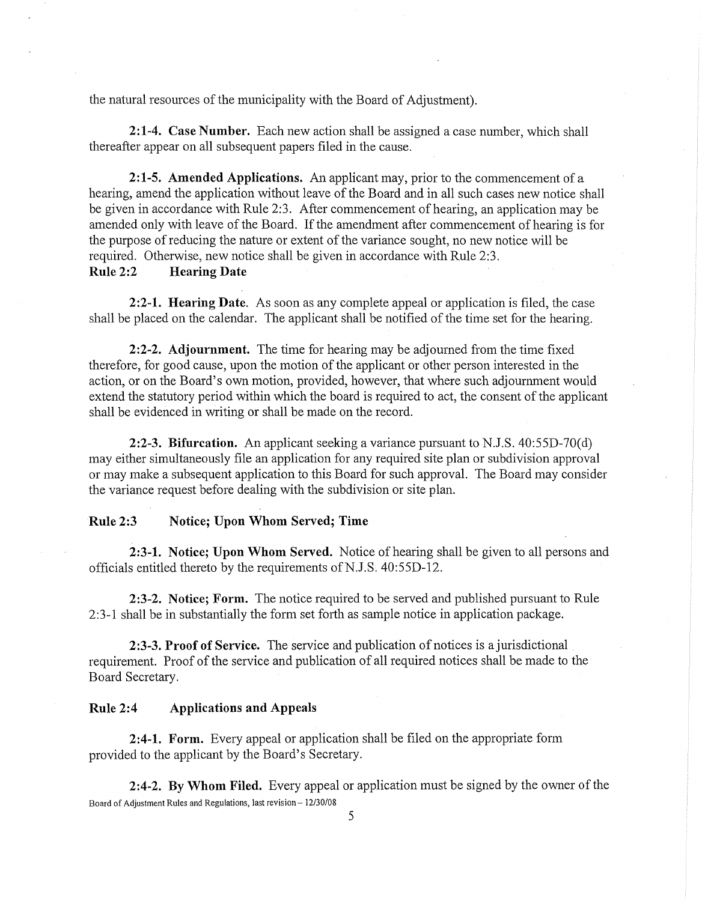the natural resources of the municipality with the Board of Adjustment).

**2:1-4. Case Number.** Each new action shall be assigned a case number, which shall thereafter appear on all subsequent papers filed in the cause.

**2:1-5. Amended Applications.** An applicant may, prior to the commencement of a hearing, amend the application without leave of the Board and in all such cases new notice shall be given in accordance with Rule 2:3. After commencement of hearing, an application may be amended only with leave of the Board. If the amendment after commencement of hearing is for the purpose of reducing the nature or extent of the variance sought, no new notice will be required. Otherwise, new notice shall be given in accordance with Rule 2:3.

# **Rule 2:2 Hearing Date**

**2:2-1. Hearing Date.** As soon as any complete appeal or application is filed, the case shall be placed on the calendar. The applicant shall be notified of the time set for the hearing.

**2:2-2. Adjournment.** The time for hearing may be adjourned from the time fixed therefore, for good cause, upon the motion of the applicant or other person interested in the action, or on the Board's own motion, provided, however, that where such adjournment would extend the statutory period within which the board is required to act, the consent of the applicant shall be evidenced in writing or shall be made on the record.

**2:2-3. Bifurcation.** An applicant seeking a variance pursuant to N.J.S. 40:55D-70(d) may either simultaneously file an application for any required site plan or subdivision approval or may make a subsequent application to this Board for such approval. The Board may consider the variance request before dealing with the subdivision or site plan.

# **Rule2:3 Notice; Upon Whom Served; Time**

**2:3-1. Notice; Upon Whom Served.** Notice of hearing shall be given to all persons and officials entitled thereto by the requirements of N.J.S. 40:55D-12.

**2:3-2. Notice; Form.** The notice required to be served and published pursuant to Rule 2:3-1 shall be in substantially the form set forth as sample notice in application package.

**2:3-3. Proof of Service.** The service and publication of notices is a jurisdictional requirement. Proof of the service and publication of all required notices shall be made to the Board Secretary.

### **Rule 2:4 Applications and Appeals**

**2:4-1. Form.** Every appeal or application shall be filed on the appropriate form provided to the applicant by the Board's Secretary.

**2:4-2. By Whom Filed.** Every appeal or application must be signed by the owner of the Board of Adjustment Rules and Regulations, last revision- 12/30/08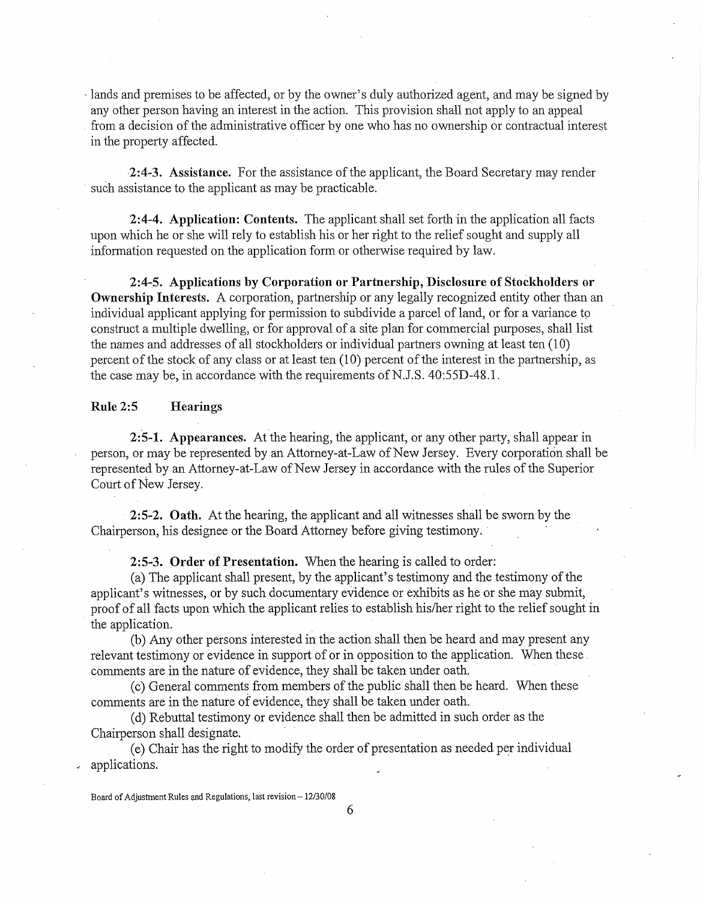· lands and premises to be affected, or by the owner's duly authorized agent, and may be signed by any other person having an interest in the action. This provision shall not apply to an appeal from a decision of the administrative officer by one who has no ownership or contractual interest in the property affected.

**2:4-3. Assistance.** For the assistance of the applicant, the Board Secretary may render such assistance to the applicant as may be practicable.

**2:4-4. Application: Contents.** The applicant shall set forth in the application all facts upon which he or she will rely to establish his or her right to the relief sought and supply all information requested on the application form or otherwise required by law.

**2:4-5. Applications by Corporation or Partnership, Disclosure of Stockholders or Ownership Interests.** A corporation, partnership or any legally recognized entity other than an individual applicant applying for permission to subdivide a parcel of land, or for a variance to construct a multiple dwelling, or for approval of a site plan for commercial purposes, shall list the names and addresses of all stockholders or individual partners owning at least ten (10) percent of the stock of any class or at least ten (10) percent of the interest in the partnership, as the case may be, in accordance with the requirements of N.J.S.  $40:55D-48.1$ .

### **Rule 2:5 Hearings**

**2:5-1. Appearances.** At the hearing, the applicant, or any other party, shall appear in person, or may be represented by an Attorney-at-Law of New Jersey. Every corporation shall be represented by an Attorney-at-Law of New Jersey in accordance with the rules of the Superior Court of New Jersey.

**2:5-2. Oath.** At the hearing, the applicant and all witnesses shall be sworn by the Chairperson, his designee or the Board Attorney before giving testimony.

**2:5-3. Order of Presentation.** When the hearing is called to order:

(a) The applicant shall present, by the applicant's testimony and the testimony of the applicant's witnesses, or by such documentary evidence or exhibits as he or she may submit, proof of all facts upon which the applicant relies to establish his/her right to the relief sought in the application.

(b) Any other persons interested in the action shall then be heard and may present any relevant testimony or evidence in support of or in opposition to the application. When these. comments are in the nature of evidence, they shall be taken under oath.

( c) General comments from members of the public shall then be heard. When these comments are in the nature of evidence, they shall be taken under oath.

( d) Rebuttal testimony or evidence shall then be admitted in such order as the Chairperson shall designate.

( e) Chair has the right to modify the order of presentation as needed per individual applications.

Board of Adjustment Rules and Regulations, last revision - 12/30/08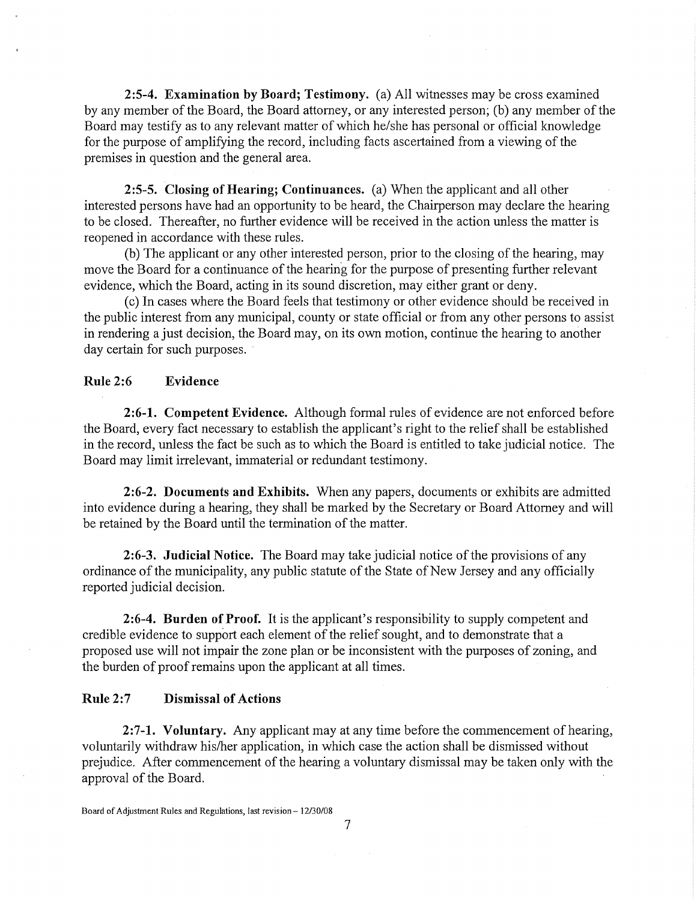**2:5-4. Examination by Board; Testimony.** (a) All witnesses may be cross examined by any member of the Board, the Board attorney, or any interested person; (b) any member of the Board may testify as to any relevant matter of which he/she has personal or official knowledge for the purpose of amplifying the record, including facts ascertained from a viewing of the premises in question and the general area.

**2:5-5. Closing of Hearing; Continuances.** (a) When the applicant and all other interested persons have had an opportunity to be heard, the Chairperson may declare the hearing to be closed. Thereafter, no further evidence will be received in the action unless the matter is reopened in accordance with these rules.

(b) The applicant or any other interested person, prior to the closing of the hearing, may move the Board for a continuance of the hearing for the purpose of presenting further relevant evidence, which the Board, acting in its sound discretion, may either grant or deny.

( c) In cases where the Board feels that testimony or other evidence should be received in the public interest from any municipal, county or state official or from any other persons to assist in rendering a just decision, the Board may, on its own motion, continue the hearing to another day certain for such purposes.

# **Rule 2:6 Evidence**

**2:6-1. Competent Evidence.** Although formal rules of evidence are not enforced before the Board, every fact necessary to establish the applicant's right to the relief shall be established in the record, unless the fact be such as to which the Board is entitled to take judicial notice. The Board may limit irrelevant, immaterial or redundant testimony.

**2:6-2. Documents and Exhibits.** When any papers, documents or exhibits are admitted into evidence during a hearing, they shall be marked by the Secretary or Board Attorney and will be retained by the Board until the termination of the matter.

**2:6-3. Judicial Notice.** The Board may take judicial notice of the provisions of any ordinance of the municipality, any public statute of the State of New Jersey and any officially reported judicial decision.

**2:6-4. Burden of Proof.** It is the applicant's responsibility to supply competent and credible evidence to support each element of the relief sought, and to demonstrate that a proposed use will not impair the zone plan or be inconsistent with the purposes of zoning, and the burden of proof remains upon the applicant at all times.

## **Rule 2:7 Dismissal of Actions**

**2:7-1. Voluntary.** Any applicant may at any time before the commencement of hearing, voluntarily withdraw his/her application, in which case the action shall be dismissed without prejudice. After commencement of the hearing a voluntary dismissal may be taken only with the approval of the Board.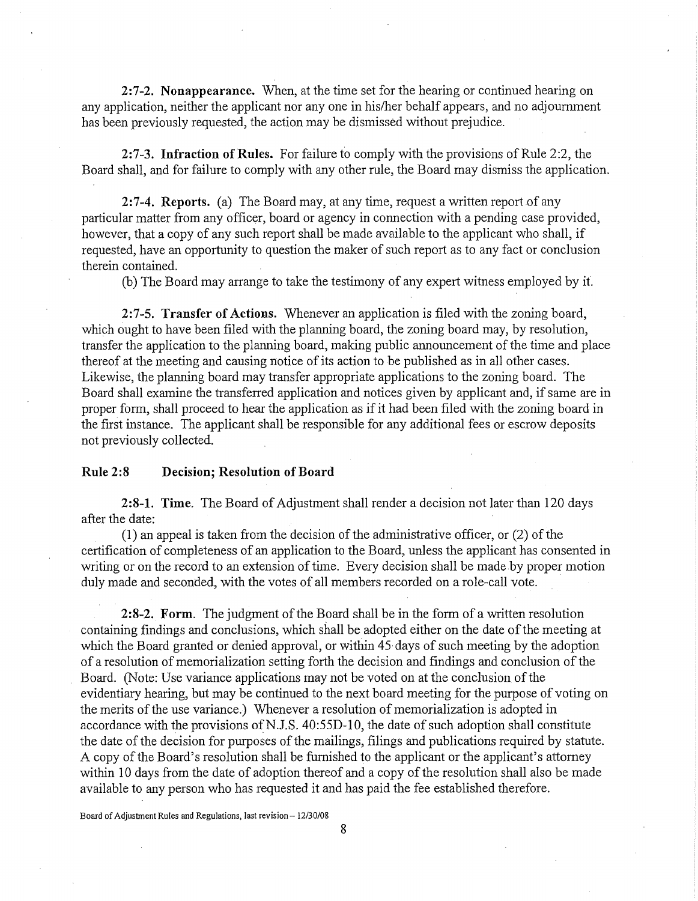**2:7-2. Nonappearance.** When, at the time set for the hearing or continued hearing on any application, neither the applicant nor any one in his/her behalf appears, and no adjournment has been previously requested, the action may be dismissed without prejudice.

**2:7-3. Infraction of Rules.** For failure to comply with the provisions of Rule 2:2, the Board shall, and for failure to comply with any other rule, the Board may dismiss the application.

**2:7-4. Reports.** (a) The Board may, at any time, request a written report of any particular matter from any officer, board or agency in connection with a pending case provided, however, that a copy of any such report shall be made available to the applicant who shall, if requested, have an opportunity to question the maker of such report as to any fact or conclusion therein contained.

(b) The Board may arrange to take the testimony of any expert witness employed by it

**2:7-5. Transfer of Actions.** Whenever an application is filed with the zoning board, which ought to have been filed with the planning board, the zoning board may, by resolution, transfer the application to the planning board, making public announcement of the time and place thereof at the meeting and causing notice of its action to be published as in all other cases. Likewise, the planning board may transfer appropriate applications to the zoning board. The Board shall examine the transferred application and notices given by applicant and, if same are in proper form, shall proceed to hear the application as if it had been filed with the zoning board in the first instance. The applicant shall be responsible for any additional fees or escrow deposits not previously collected.

#### **Rule 2:8 Decision; Resolution of Board**

**2:8-1. Time.** The Board of Adjustment shall render a decision not later than 120 days after the date:

(1) an appeal is taken from the decision of the administrative officer, or (2) of the certification of completeness of an application to the Board, unless the applicant has consented in writing or on the record to an extension of time. Every decision shall be made by proper motion duly made and seconded, with the votes of all members recorded on a role-call vote.

**2:8-2. Form.** The judgment of the Board shall be in the form of a written resolution containing findings and conclusions, which shall be adopted either on the date of the meeting at which the Board granted or denied approval, or within 45 days of such meeting by the adoption of a resolution of memorialization setting forth the decision and findings and conclusion of the Board. (Note: Use variance applications may not be voted on at the conclusion of the evidentiary hearing, but may be continued to the next board meeting for the purpose of voting on the merits of the use variance.) Whenever a resolution of memorialization is adopted in accordance with the provisions of N.J.S.  $40:55D-10$ , the date of such adoption shall constitute the date of the decision for purposes of the mailings, filings and publications required by statute. A copy of the Board's resolution shall be furnished to the applicant or the applicant's attorney within 10 days from the date of adoption thereof and a copy of the resolution shall also be made available to any person who has requested it and has paid the fee established therefore.

Board of Adjustment Rules and Regulations, last revision- 12/30/08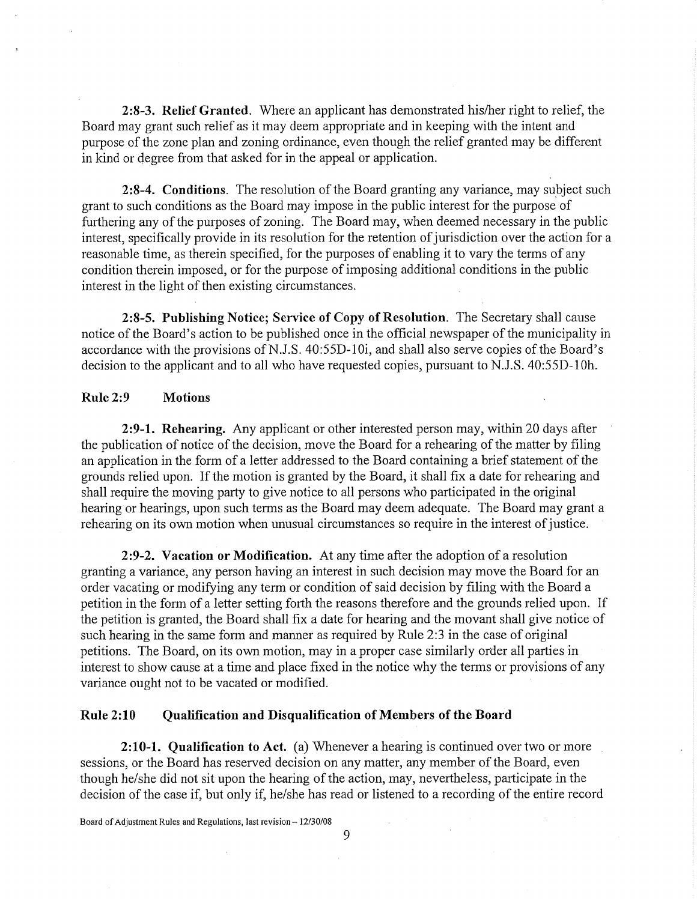**2:8-3. Relief Granted.** Where an applicant has demonstrated his/her right to relief, the Board may grant such relief as it may deem appropriate and in keeping with the intent and purpose of the zone plan and zoning ordinance, even though the relief granted may be different in kind or degree from that asked for in the appeal or application.

2:8-4. Conditions. The resolution of the Board granting any variance, may subject such grant to such conditions as the Board may impose in the public interest for the purpose of furthering any of the purposes of zoning. The Board may, when deemed necessary in the public interest, specifically provide in its resolution for the retention of jurisdiction over the action for a reasonable time, as therein specified, for the purposes of enabling it to vary the terms of any condition therein imposed, or for the purpose of imposing additional conditions in the public interest in the light of then existing circumstances.

**2:8-5. Publishing Notice; Service of Copy of Resolution.** The Secretary shall cause notice of the Board's action to be published once in the official newspaper of the municipality in accordance with the provisions of N.J.S.  $40:55D-10i$ , and shall also serve copies of the Board's decision to the applicant and to all who have requested copies, pursuant to N.J.S. 40:55D-10h.

# **Rule 2:9 Motions**

**2:9-1. Rehearing.** Any applicant or other interested person may, within 20 days after the publication of notice of the decision, move the Board for a rehearing of the matter by filing an application in the form of a letter addressed to the Board containing a brief statement of the grounds relied upon. If the motion is granted by the Board, it shall fix a date for rehearing and shall require the moving party to give notice to all persons who participated in the original hearing or hearings, upon such terms as the Board may deem adequate. The Board may grant a rehearing on its own motion when unusual circumstances so require in the interest of justice.

**2:9-2. Vacation or Modification.** At any time after the adoption of a resolution granting a variance, any person having an interest in such decision may move the Board for an order vacating or modifying any term or condition of said decision by filing with the Board a petition in the form of a letter setting forth the reasons therefore and the grounds relied upon. If the petition is granted, the Board shall fix a date for hearing and the movant shall give notice of such hearing in the same form and manner as required by Rule 2:3 in the case of original petitions. The Board, on its own motion, may in a proper case similarly order all parties in interest to show cause at a time and place fixed in the notice why the terms or provisions of any variance ought not to be vacated or modified.

## **Rule 2:10 Qualification and Disqualification of Members of the Board**

**2:10-1. Qualification to Act.** (a) Whenever a hearing is continued over two or more sessions, or the Board has reserved decision on any matter, any member of the Board, even though he/she did not sit upon the hearing of the action, may, nevertheless, participate in the decision of the case if, but only if, he/she has read or listened to a recording of the entire record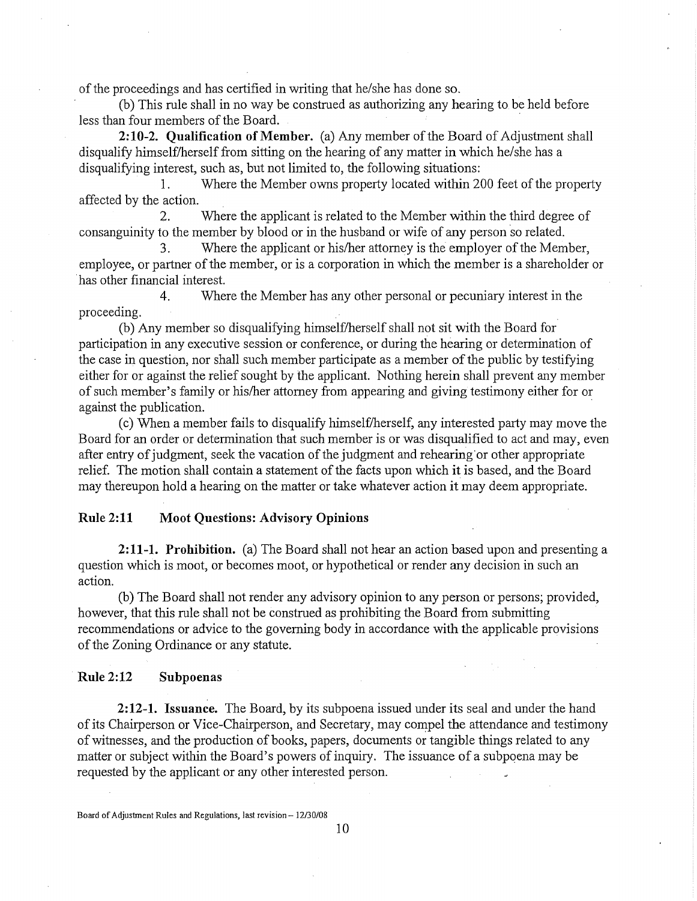of the proceedings and has certified in writing that he/she has done so.

(b) This rule shall in no way be construed as authorizing any hearing to be held before less than four members of the Board. •

**2:10-2. Qualification of Member.** (a) Any member of the Board of Adjustment shall disqualify himself/herself from sitting on the hearing of any matter in which he/she has a disqualifying interest, such as, but not limited to, the following situations:

1. Where the Member owns property located within 200 feet of the property affected by the action.

2. Where the applicant is related to the Member within the third degree of consanguinity to the member by blood or in the husband or wife of any person so related.

3. Where the applicant or his/her attorney is the employer of the Member, employee, or partner of the member, or is a corporation in which the member is a shareholder or has other financial interest.

4. Where the Member has any other personal or pecuniary interest in the proceeding.

(b) Any member so disqualifying himself/herself shall not sit with the Board for participation in any executive session or conference, or during the hearing or determination of the case in question, nor shall such member participate as a member of the public by testifying either for or against the relief sought by the applicant. Nothing herein shall prevent any member of such member's family or his/her attorney from appearing and giving testimony either for or against the publication.

( c) When a member fails to disqualify himself/herself, any interested party may move the Board for an order or determination that such member is or was disqualified to act and may, even after entry of judgment, seek the vacation of the judgment and rehearing· or other appropriate relief. The motion shall contain a statement of the facts upon which **it** is based, and the Board may thereupon hold a hearing on the matter or take whatever action it may deem appropriate.

# **Rule 2:11 Moot Questions: Advisory Opinions**

**2:11-1. Prohibition.** (a) The Board shall not hear an action based upon and presenting a question which is moot, or becomes moot, or hypothetical or render any decision in such an action.

(b) The Board shall not render any advisory opinion to any person or persons; provided, however, that this rule shall not be construed as prohibiting the Board from submitting recommendations or advice to the governing body in accordance with the applicable provisions of the Zoning Ordinance or any statute.

## **Rule 2:12 Subpoenas**

**2:12-1. Issuance.** The Board, by its subpoena issued under its seal and under the hand of its Chairperson or Vice-Chairperson, and Secretary, may compel the attendance and testimony of witnesses, and the production of books, papers, documents or tangible things related to any matter or subject within the Board's powers of inquiry. The issuance of a subpoena may be requested by the applicant or any other interested person.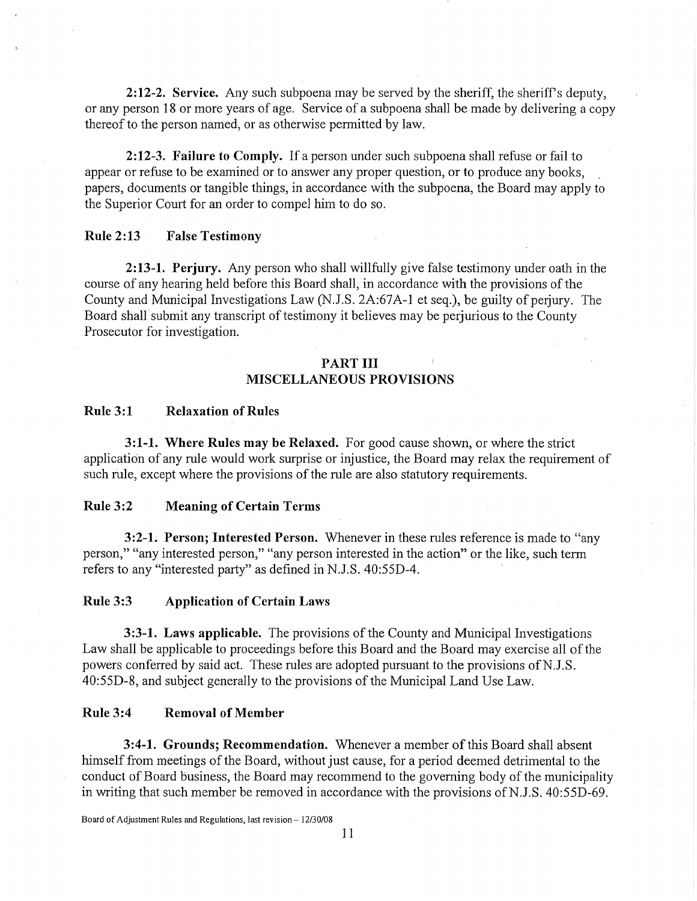**2:12-2. Service.** Any such subpoena may be served by the sheriff, the sheriff's deputy, or any person 18 or more years of age. Service of a subpoena shall be made by delivering a copy thereof to the person named, or as otherwise permitted by law.

**2:12-3. Failure to Comply.** If a person under such subpoena shall refuse or fail to appear or refuse to be examined or to answer any proper question, or to produce any books, papers, documents or tangible things, in accordance with the subpoena, the Board may apply to the Superior Court for an order to compel him to do so.

# **Rule 2:13 False Testimony**

**2:13-1. Perjury.** Any person who shall willfully give false testimony under oath in the course of any hearing held before this Board shall, in accordance with the provisions of the County and Municipal Investigations Law (N.J.S. 2A:67A-1 et seq.), be guilty of perjury. The Board shall submit any transcript of testimony it believes may be perjurious to the County Prosecutor for investigation.

# **PART III MISCELLANEOUS PROVISIONS**

#### **Rule 3:1 Relaxation of Rules**

**3:1-1. Where Rules may be Relaxed.** For good cause shown, or where the strict application of any rule would work surprise or injustice, the Board may relax the requirement of such rule, except where the provisions of the rule are also statutory requirements.

#### **Rule 3:2 Meaning of Certain Terms**

**3:2-1. Person; Interested Person.** Whenever in these rules reference is made to "any person," "any interested person," "any person interested in the action" or the like, such term refers to any "interested party" as defined in N.J.S. 40:55D-4.

### **Rule 3:3 Application of Certain Laws**

**3:3-1. Laws applicable.** The provisions of the County and Municipal Investigations Law shall be applicable to proceedings before this Board and the Board may exercise all of the powers conferred by said act. These rules are adopted pursuant to the provisions of N.J.S. 40:55D-8, and subject generally to the provisions of the Municipal Land Use Law.

### **Rule 3:4 Removal of Member**

**3:4-1. Grounds; Recommendation.** Whenever a member of this Board shall absent himself from meetings of the Board, without just cause, for a period deemed detrimental to the conduct of Board business, the Board may recommend to the governing body of the municipality in writing that such member be removed in accordance with the provisions of N.J.S. 40:55D-69.